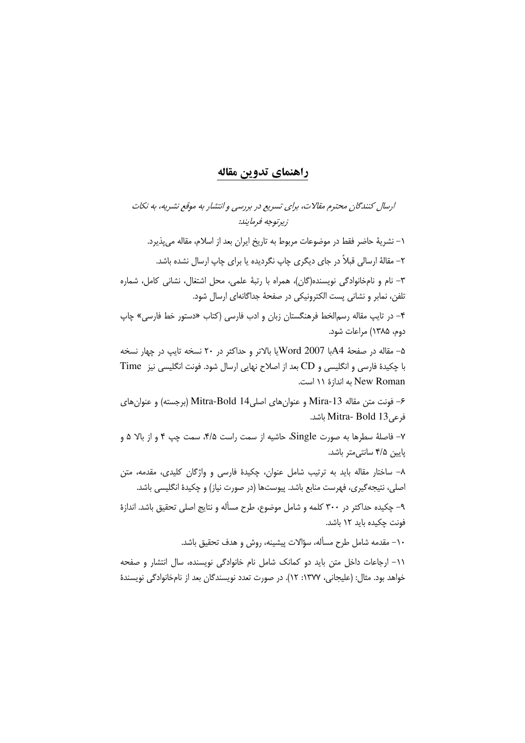## راهنماي تدوين مقاله

ارسال کنندگان محترم مقالات، برای تسریع در بررسی و انتشار به موقع نشریه، به نکات زبرتوجه فرمايند.

١– نشريهٔ حاضر فقط در موضوعات مربوط به تاريخ ايران بعد از اسلام، مقاله مي يذيرد.

۲– مقالهٔ ارسالی قبلاً در جای دیگری چاپ نگردیده یا برای چاپ ارسال نشده باشد.

٣- نام و نامخانوادگی نویسنده(گان)، همراه با رتبهٔ علمی، محل اشتغال، نشانی کامل، شماره تلفن، نمایر و نشانی پست الکترونیکی در صفحهٔ جداگانهای ارسال شود.

۴- در تایپ مقاله رسم|لخط فرهنگستان زبان و ادب فارسی (کتاب «دستور خط فارسی» چاپ دوم، ۱۳۸۵) مراعات شود.

۵- مقاله در صفحهٔ 44با Word 2007 یا بالاتر و حداکثر در ۲۰ نسخه تایپ در چهار نسخه با چکیدهٔ فارسی و انگلیسی و CD بعد از اصلاح نهایی ارسال شود. فونت انگلیسی نیز Time New Roman به اندازهٔ ۱۱ است.

۶– فونت متن مقاله Mira-13 و عنوان های اصلی14 Mitra-Bold (برجسته) و عنوان های فرعىMitra- Bold 13 باشد.

۷– فاصلهٔ سطرها به صورت Single، حاشیه از سمت راست ۴/۵، سمت چپ ۴ و از بالا ۵ و یایین ۴/۵ سانتی متر باشد.

۸– ساختار مقاله باید به ترتیب شامل عنوان، چکیدهٔ فارسی و واژگان کلیدی، مقدمه، متن اصلی، نتیجه گیری، فهرست منابع باشد. پیوستها (در صورت نیاز) و چکیدهٔ انگلیسی باشد.

۹– چکیده حداکثر در ۳۰۰ کلمه و شامل موضوع، طرح مسأله و نتایج اصلی تحقیق باشد. اندازهٔ فونت چکیده باید ۱۲ باشد.

١٠– مقدمه شامل طرح مسأله، سؤالات پيشينه، روش و هدف تحقيق باشد.

١١- ارجاعات داخل متن بايد دو كمانك شامل نام خانوادگى نويسنده، سال انتشار و صفحه خواهد بود. مثال: (عليجاني، ١٣٧٧: ١٢). در صورت تعدد نويسندگان بعد از نامخانوادگي نويسندهٔ